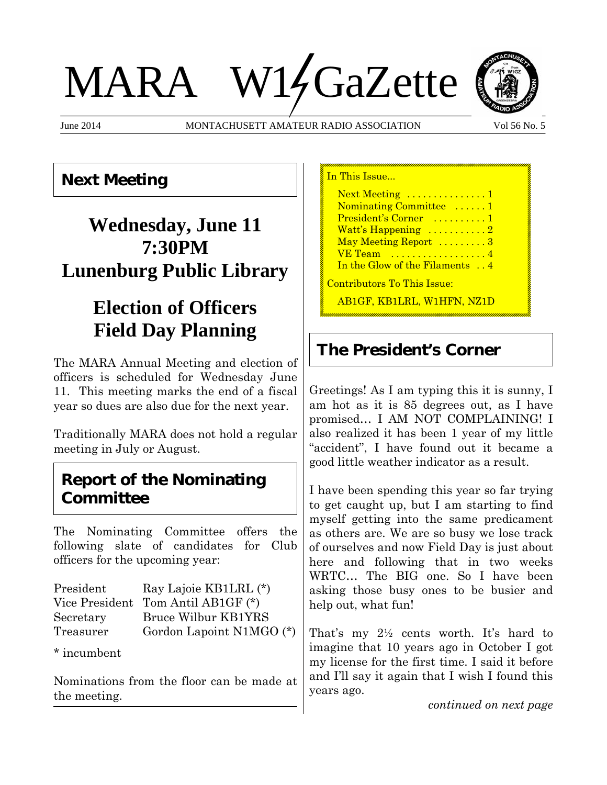# MARA W14GaZette



June 2014 MONTACHUSETT AMATEUR RADIO ASSOCIATION Vol 56 No. 5



## **Next Meeting**

## **Wednesday, June 11 7:30PM Lunenburg Public Library**

## **Election of Officers Field Day Planning**

The MARA Annual Meeting and election of officers is scheduled for Wednesday June 11. This meeting marks the end of a fiscal year so dues are also due for the next year.

Traditionally MARA does not hold a regular meeting in July or August.

### **Report of the Nominating Committee**

The Nominating Committee offers the following slate of candidates for Club officers for the upcoming year:

| President | Ray Lajoie KB1LRL (*)              |
|-----------|------------------------------------|
|           | Vice President Tom Antil AB1GF (*) |
| Secretary | <b>Bruce Wilbur KB1YRS</b>         |
| Treasurer | Gordon Lapoint N1MGO (*)           |

\* incumbent

Nominations from the floor can be made at the meeting.

In This Issue... Next Meeting ..............1 Nominating Committee ......1 President's Corner .........1 Watt's Happening  $\dots\dots\dots2$ May Meeting Report .........3 **VE Team** ..................4 In the Glow of the Filaments . . 4 Contributors To This Issue: AB1GF, KB1LRL, W1HFN, NZ1D

## **The President's Corner**

Greetings! As I am typing this it is sunny, I am hot as it is 85 degrees out, as I have promised… I AM NOT COMPLAINING! I also realized it has been 1 year of my little "accident", I have found out it became a good little weather indicator as a result.

I have been spending this year so far trying to get caught up, but I am starting to find myself getting into the same predicament as others are. We are so busy we lose track of ourselves and now Field Day is just about here and following that in two weeks WRTC… The BIG one. So I have been asking those busy ones to be busier and help out, what fun!

That's my 2½ cents worth. It's hard to imagine that 10 years ago in October I got my license for the first time. I said it before and I'll say it again that I wish I found this years ago.

*continued on next page*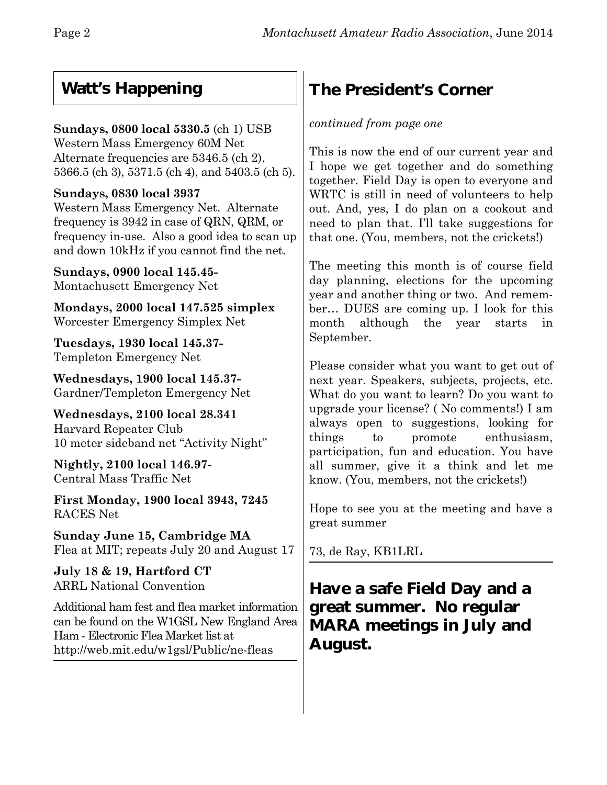## **Watt's Happening**

#### **Sundays, 0800 local 5330.5** (ch 1) USB

Western Mass Emergency 60M Net Alternate frequencies are 5346.5 (ch 2), 5366.5 (ch 3), 5371.5 (ch 4), and 5403.5 (ch 5).

#### **Sundays, 0830 local 3937**

Western Mass Emergency Net. Alternate frequency is 3942 in case of QRN, QRM, or frequency in-use. Also a good idea to scan up and down 10kHz if you cannot find the net.

**Sundays, 0900 local 145.45-** Montachusett Emergency Net

**Mondays, 2000 local 147.525 simplex** Worcester Emergency Simplex Net

**Tuesdays, 1930 local 145.37-** Templeton Emergency Net

**Wednesdays, 1900 local 145.37-** Gardner/Templeton Emergency Net

**Wednesdays, 2100 local 28.341** Harvard Repeater Club 10 meter sideband net "Activity Night"

**Nightly, 2100 local 146.97-** Central Mass Traffic Net

**First Monday, 1900 local 3943, 7245** RACES Net

**Sunday June 15, Cambridge MA** Flea at MIT; repeats July 20 and August 17

**July 18 & 19, Hartford CT** ARRL National Convention

Additional ham fest and flea market information can be found on the W1GSL New England Area Ham - Electronic Flea Market list at http://web.mit.edu/w1gsl/Public/ne-fleas

## **The President's Corner**

#### *continued from page one*

This is now the end of our current year and I hope we get together and do something together. Field Day is open to everyone and WRTC is still in need of volunteers to help out. And, yes, I do plan on a cookout and need to plan that. I'll take suggestions for that one. (You, members, not the crickets!)

The meeting this month is of course field day planning, elections for the upcoming year and another thing or two. And remember… DUES are coming up. I look for this month although the year starts in September.

Please consider what you want to get out of next year. Speakers, subjects, projects, etc. What do you want to learn? Do you want to upgrade your license? ( No comments!) I am always open to suggestions, looking for things to promote enthusiasm, participation, fun and education. You have all summer, give it a think and let me know. (You, members, not the crickets!)

Hope to see you at the meeting and have a great summer

73, de Ray, KB1LRL

**Have a safe Field Day and a great summer. No regular MARA meetings in July and August.**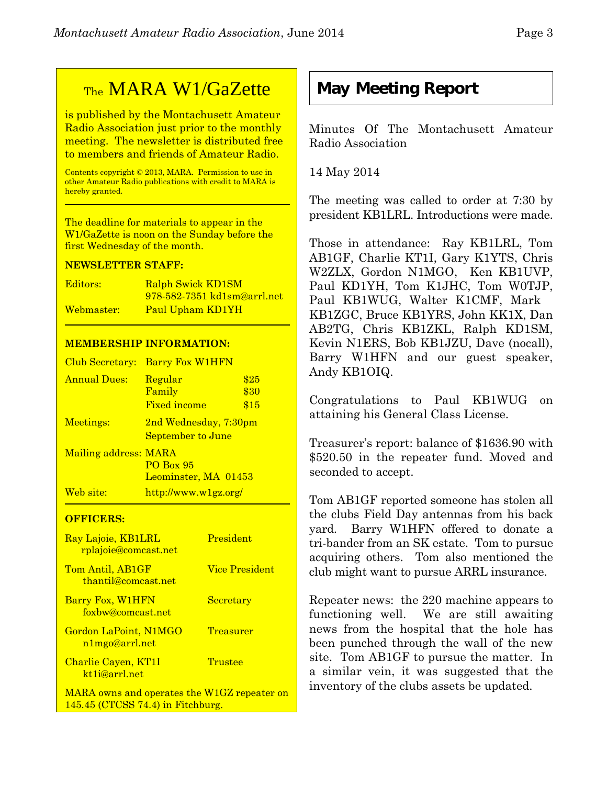## **May Meeting Report**

Minutes Of The Montachusett Amateur Radio Association

14 May 2014

The meeting was called to order at 7:30 by president KB1LRL. Introductions were made.

Those in attendance: Ray KB1LRL, Tom AB1GF, Charlie KT1I, Gary K1YTS, Chris W2ZLX, Gordon N1MGO, Ken KB1UVP, Paul KD1YH, Tom K1JHC, Tom W0TJP, Paul KB1WUG, Walter K1CMF, Mark KB1ZGC, Bruce KB1YRS, John KK1X, Dan AB2TG, Chris KB1ZKL, Ralph KD1SM, Kevin N1ERS, Bob KB1JZU, Dave (nocall), Barry W1HFN and our guest speaker, Andy KB1OIQ.

Congratulations to Paul KB1WUG on attaining his General Class License.

Treasurer's report: balance of \$1636.90 with \$520.50 in the repeater fund. Moved and seconded to accept.

Tom AB1GF reported someone has stolen all the clubs Field Day antennas from his back yard. Barry W1HFN offered to donate a tri-bander from an SK estate. Tom to pursue acquiring others. Tom also mentioned the club might want to pursue ARRL insurance.

Repeater news: the 220 machine appears to functioning well. We are still awaiting news from the hospital that the hole has been punched through the wall of the new site. Tom AB1GF to pursue the matter. In a similar vein, it was suggested that the inventory of the clubs assets be updated.

## TheMARA W1/GaZette

is published by the Montachusett Amateur Radio Association just prior to the monthly meeting. The newsletter is distributed free to members and friends of Amateur Radio.

Contents copyright © 2013, MARA. Permission to use in other Amateur Radio publications with credit to MARA is hereby granted.

The deadline for materials to appear in the W1/GaZette is noon on the Sunday before the first Wednesday of the month.

#### **NEWSLETTER STAFF:**

| Editors:   | Ralph Swick KD1SM           |
|------------|-----------------------------|
|            | 978-582-7351 kd1sm@arrl.net |
| Webmaster: | Paul Upham KD1YH            |

#### **MEMBERSHIP INFORMATION:**

| Club Secretary:       | <b>Barry Fox W1HFN</b>                     |                      |
|-----------------------|--------------------------------------------|----------------------|
| <b>Annual Dues:</b>   | Regular<br>Family<br><b>Fixed income</b>   | \$25<br>\$30<br>\$15 |
| Meetings:             | 2nd Wednesday, 7:30pm<br>September to June |                      |
| Mailing address: MARA | <b>PO Box 95</b><br>Leominster, MA 01453   |                      |
| Web site:             | http://www.w1gz.org/                       |                      |

#### **OFFICERS:**

| Ray Lajoie, KB1LRL<br><u>rplajoie@comcast.net</u> | President      |
|---------------------------------------------------|----------------|
| Tom Antil, AB1GF<br>thantil@comcast.net           | Vice President |
| Barry Fox, W1HFN<br>foxbw@comcast.net             | Secretary      |
| Gordon LaPoint, N1MGO<br>n1mgo@arrl.net           | Treasurer      |
| Charlie Cayen, KT1I<br>kt1j@arrl.net              | Trustee        |
| MARA owns and operates the W1GZ repeater on       |                |

145.45 (CTCSS 74.4) in Fitchburg.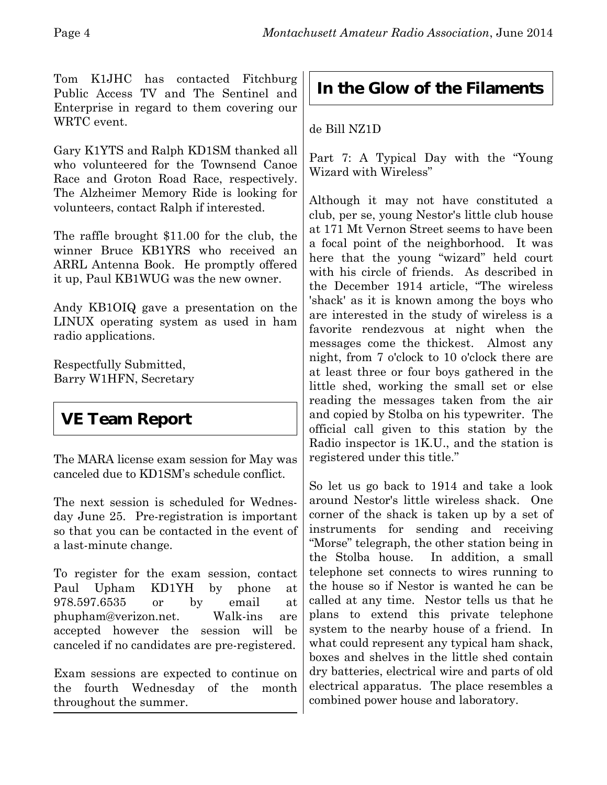Tom K1JHC has contacted Fitchburg Public Access TV and The Sentinel and Enterprise in regard to them covering our WRTC event.

Gary K1YTS and Ralph KD1SM thanked all who volunteered for the Townsend Canoe Race and Groton Road Race, respectively. The Alzheimer Memory Ride is looking for volunteers, contact Ralph if interested.

The raffle brought \$11.00 for the club, the winner Bruce KB1YRS who received an ARRL Antenna Book. He promptly offered it up, Paul KB1WUG was the new owner.

Andy KB1OIQ gave a presentation on the LINUX operating system as used in ham radio applications.

Respectfully Submitted, Barry W1HFN, Secretary

## **VE Team Report**

The MARA license exam session for May was canceled due to KD1SM's schedule conflict.

The next session is scheduled for Wednesday June 25.Pre-registration is important so that you can be contacted in the event of a last-minute change.

To register for the exam session, contact Paul Upham KD1YH by phone at 978.597.6535 or by email at phupham@verizon.net. Walk-ins are accepted however the session will be canceled if no candidates are pre-registered.

Exam sessions are expected to continue on the fourth Wednesday of the month throughout the summer.

## **In the Glow of the Filaments**

#### de Bill NZ1D

Part 7: A Typical Day with the "Young Wizard with Wireless"

Although it may not have constituted a club, per se, young Nestor's little club house at 171 Mt Vernon Street seems to have been a focal point of the neighborhood. It was here that the young "wizard" held court with his circle of friends. As described in the December 1914 article, "The wireless 'shack' as it is known among the boys who are interested in the study of wireless is a favorite rendezvous at night when the messages come the thickest. Almost any night, from 7 o'clock to 10 o'clock there are at least three or four boys gathered in the little shed, working the small set or else reading the messages taken from the air and copied by Stolba on his typewriter. The official call given to this station by the Radio inspector is 1K.U., and the station is registered under this title."

So let us go back to 1914 and take a look around Nestor's little wireless shack. One corner of the shack is taken up by a set of instruments for sending and receiving "Morse" telegraph, the other station being in the Stolba house. In addition, a small telephone set connects to wires running to the house so if Nestor is wanted he can be called at any time. Nestor tells us that he plans to extend this private telephone system to the nearby house of a friend. In what could represent any typical ham shack, boxes and shelves in the little shed contain dry batteries, electrical wire and parts of old electrical apparatus. The place resembles a combined power house and laboratory.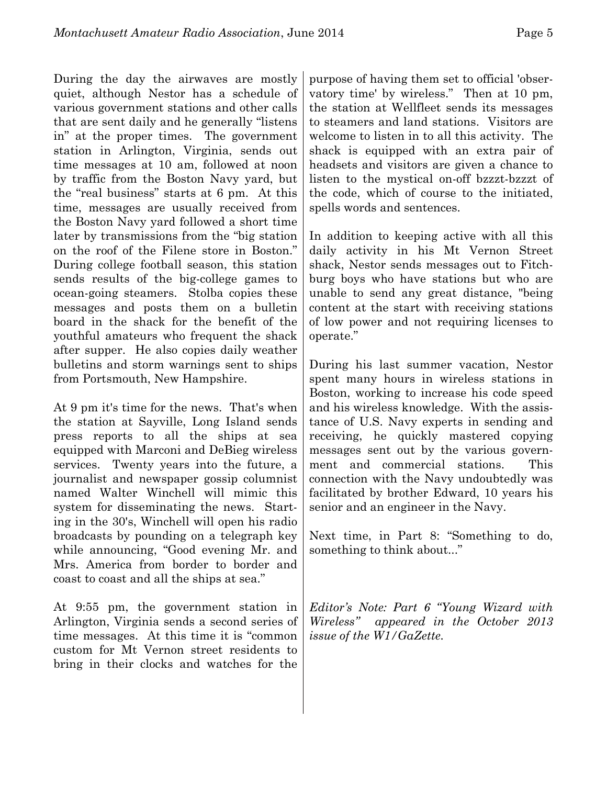During the day the airwaves are mostly quiet, although Nestor has a schedule of various government stations and other calls that are sent daily and he generally "listens in" at the proper times. The government station in Arlington, Virginia, sends out time messages at 10 am, followed at noon by traffic from the Boston Navy yard, but the "real business" starts at 6 pm. At this time, messages are usually received from the Boston Navy yard followed a short time later by transmissions from the "big station on the roof of the Filene store in Boston." During college football season, this station sends results of the big-college games to ocean-going steamers. Stolba copies these messages and posts them on a bulletin board in the shack for the benefit of the youthful amateurs who frequent the shack after supper. He also copies daily weather bulletins and storm warnings sent to ships from Portsmouth, New Hampshire.

At 9 pm it's time for the news. That's when the station at Sayville, Long Island sends press reports to all the ships at sea equipped with Marconi and DeBieg wireless services. Twenty years into the future, a journalist and newspaper gossip columnist named Walter Winchell will mimic this system for disseminating the news. Starting in the 30's, Winchell will open his radio broadcasts by pounding on a telegraph key while announcing, "Good evening Mr. and Mrs. America from border to border and coast to coast and all the ships at sea."

At 9:55 pm, the government station in Arlington, Virginia sends a second series of time messages. At this time it is "common custom for Mt Vernon street residents to bring in their clocks and watches for the

purpose of having them set to official 'observatory time' by wireless." Then at 10 pm, the station at Wellfleet sends its messages to steamers and land stations. Visitors are welcome to listen in to all this activity. The shack is equipped with an extra pair of headsets and visitors are given a chance to listen to the mystical on-off bzzzt-bzzzt of the code, which of course to the initiated, spells words and sentences.

In addition to keeping active with all this daily activity in his Mt Vernon Street shack, Nestor sends messages out to Fitchburg boys who have stations but who are unable to send any great distance, "being content at the start with receiving stations of low power and not requiring licenses to operate."

During his last summer vacation, Nestor spent many hours in wireless stations in Boston, working to increase his code speed and his wireless knowledge. With the assistance of U.S. Navy experts in sending and receiving, he quickly mastered copying messages sent out by the various government and commercial stations. This connection with the Navy undoubtedly was facilitated by brother Edward, 10 years his senior and an engineer in the Navy.

Next time, in Part 8: "Something to do, something to think about..."

*Editor's Note: Part 6 "Young Wizard with Wireless" appeared in the October 2013 issue of the W1/GaZette.*